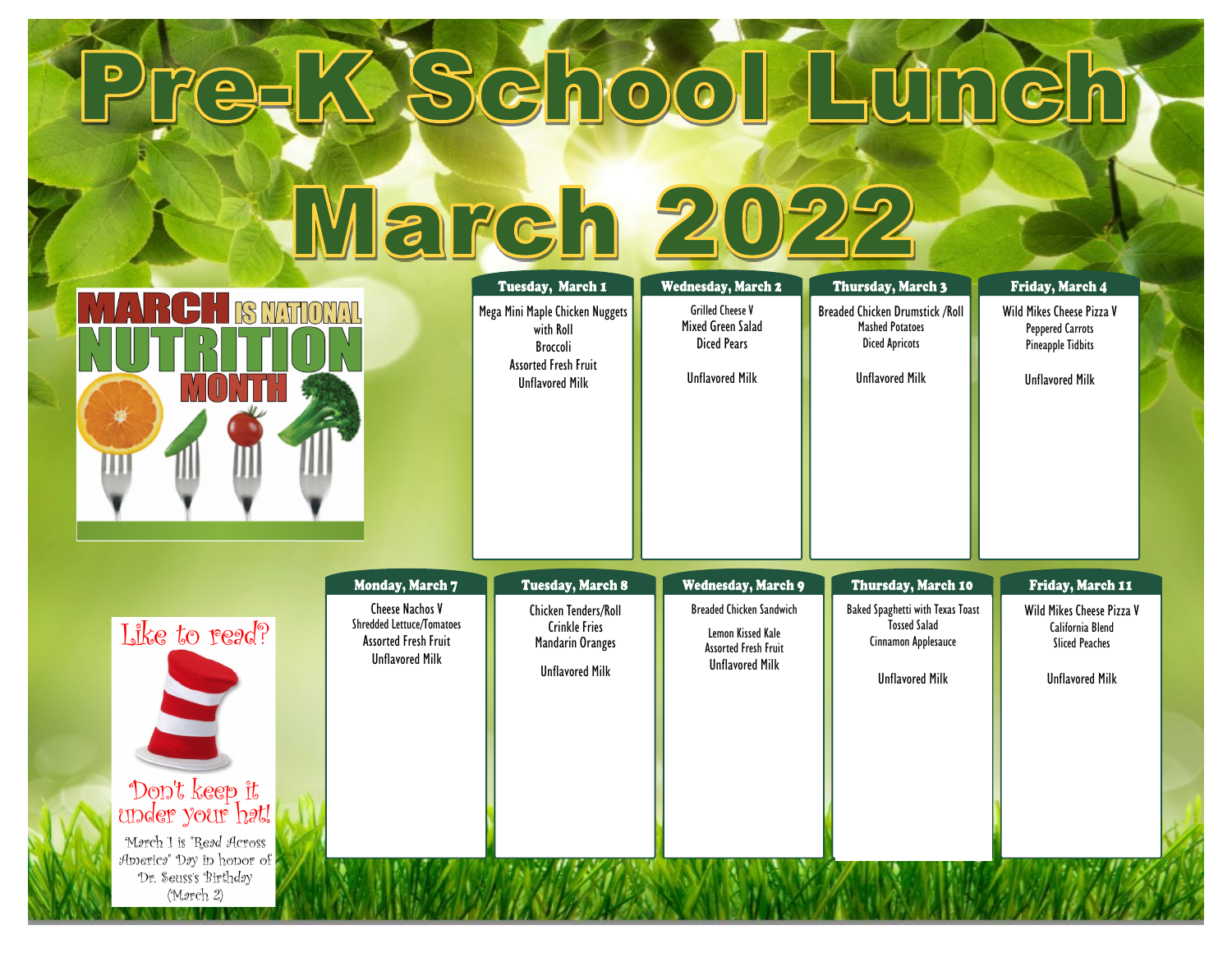| PITCEL                                                                                                                                                 | March 20                                                                                                                        |                                                                                                                                       |                                                                                                                                            | School Lunch                                                                                                                             |                                                                                                                               |
|--------------------------------------------------------------------------------------------------------------------------------------------------------|---------------------------------------------------------------------------------------------------------------------------------|---------------------------------------------------------------------------------------------------------------------------------------|--------------------------------------------------------------------------------------------------------------------------------------------|------------------------------------------------------------------------------------------------------------------------------------------|-------------------------------------------------------------------------------------------------------------------------------|
| <b>IS MATIONAL</b>                                                                                                                                     |                                                                                                                                 | Tuesday, March 1<br>Mega Mini Maple Chicken Nuggets<br>with Roll<br>Broccoli<br><b>Assorted Fresh Fruit</b><br><b>Unflavored Milk</b> | <b>Wednesday, March 2</b><br><b>Grilled Cheese V</b><br>Mixed Green Salad<br><b>Diced Pears</b><br><b>Unflavored Milk</b>                  | Thursday, March 3<br><b>Breaded Chicken Drumstick /Roll</b><br><b>Mashed Potatoes</b><br><b>Diced Apricots</b><br><b>Unflavored Milk</b> | Friday, March 4<br>Wild Mikes Cheese Pizza V<br><b>Peppered Carrots</b><br><b>Pineapple Tidbits</b><br><b>Unflavored Milk</b> |
| Like to read?<br>Don't keep it<br>under your h <i>a</i> t!<br>Morch 1 is "Read Across<br>Americs" Day in honor of<br>Dr. Seuss's Birthday<br>(Mərch 2) | Monday, March 7<br><b>Cheese Nachos V</b><br>Shredded Lettuce/Tomatoes<br><b>Assorted Fresh Fruit</b><br><b>Unflavored Milk</b> | <b>Tuesday, March 8</b><br><b>Chicken Tenders/Roll</b><br><b>Crinkle Fries</b><br><b>Mandarin Oranges</b><br><b>Unflavored Milk</b>   | <b>Wednesday, March 9</b><br><b>Breaded Chicken Sandwich</b><br>Lemon Kissed Kale<br><b>Assorted Fresh Fruit</b><br><b>Unflavored Milk</b> | Thursday, March 10<br><b>Baked Spaghetti with Texas Toast</b><br><b>Tossed Salad</b><br>Cinnamon Applesauce<br><b>Unflavored Milk</b>    | Friday, March 11<br>Wild Mikes Cheese Pizza V<br>California Blend<br><b>Sliced Peaches</b><br><b>Unflavored Milk</b>          |